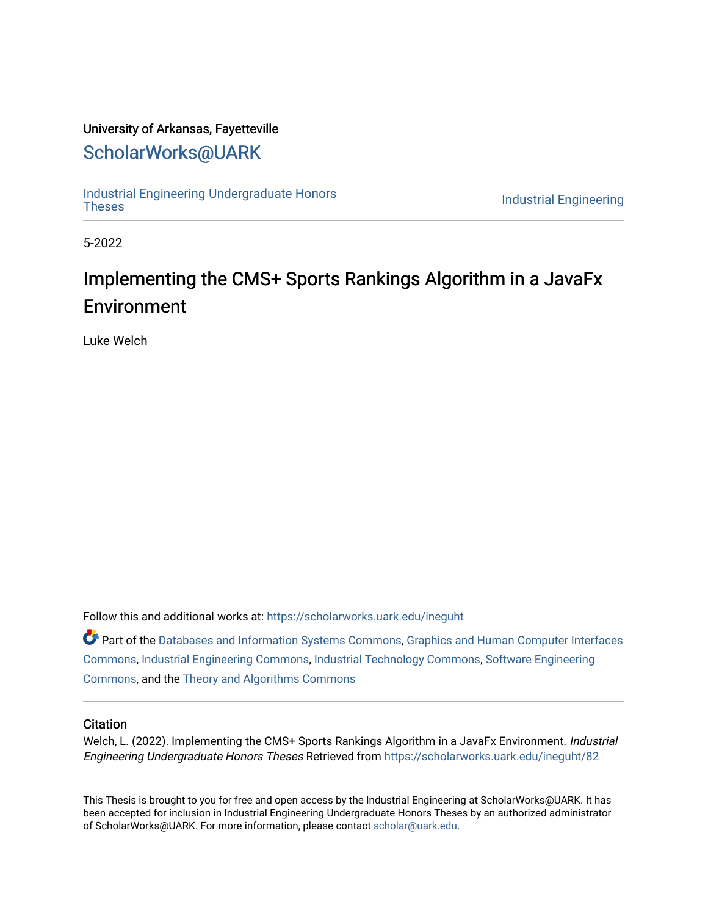## University of Arkansas, Fayetteville

# [ScholarWorks@UARK](https://scholarworks.uark.edu/)

[Industrial Engineering Undergraduate Honors](https://scholarworks.uark.edu/ineguht)

**Industrial Engineering** 

5-2022

# Implementing the CMS+ Sports Rankings Algorithm in a JavaFx Environment

Luke Welch

Follow this and additional works at: [https://scholarworks.uark.edu/ineguht](https://scholarworks.uark.edu/ineguht?utm_source=scholarworks.uark.edu%2Fineguht%2F82&utm_medium=PDF&utm_campaign=PDFCoverPages)

Part of the [Databases and Information Systems Commons](http://network.bepress.com/hgg/discipline/145?utm_source=scholarworks.uark.edu%2Fineguht%2F82&utm_medium=PDF&utm_campaign=PDFCoverPages), [Graphics and Human Computer Interfaces](http://network.bepress.com/hgg/discipline/146?utm_source=scholarworks.uark.edu%2Fineguht%2F82&utm_medium=PDF&utm_campaign=PDFCoverPages)  [Commons](http://network.bepress.com/hgg/discipline/146?utm_source=scholarworks.uark.edu%2Fineguht%2F82&utm_medium=PDF&utm_campaign=PDFCoverPages), [Industrial Engineering Commons](http://network.bepress.com/hgg/discipline/307?utm_source=scholarworks.uark.edu%2Fineguht%2F82&utm_medium=PDF&utm_campaign=PDFCoverPages), [Industrial Technology Commons,](http://network.bepress.com/hgg/discipline/1062?utm_source=scholarworks.uark.edu%2Fineguht%2F82&utm_medium=PDF&utm_campaign=PDFCoverPages) [Software Engineering](http://network.bepress.com/hgg/discipline/150?utm_source=scholarworks.uark.edu%2Fineguht%2F82&utm_medium=PDF&utm_campaign=PDFCoverPages)  [Commons](http://network.bepress.com/hgg/discipline/150?utm_source=scholarworks.uark.edu%2Fineguht%2F82&utm_medium=PDF&utm_campaign=PDFCoverPages), and the [Theory and Algorithms Commons](http://network.bepress.com/hgg/discipline/151?utm_source=scholarworks.uark.edu%2Fineguht%2F82&utm_medium=PDF&utm_campaign=PDFCoverPages) 

#### **Citation**

Welch, L. (2022). Implementing the CMS+ Sports Rankings Algorithm in a JavaFx Environment. Industrial Engineering Undergraduate Honors Theses Retrieved from [https://scholarworks.uark.edu/ineguht/82](https://scholarworks.uark.edu/ineguht/82?utm_source=scholarworks.uark.edu%2Fineguht%2F82&utm_medium=PDF&utm_campaign=PDFCoverPages)

This Thesis is brought to you for free and open access by the Industrial Engineering at ScholarWorks@UARK. It has been accepted for inclusion in Industrial Engineering Undergraduate Honors Theses by an authorized administrator of ScholarWorks@UARK. For more information, please contact [scholar@uark.edu.](mailto:scholar@uark.edu)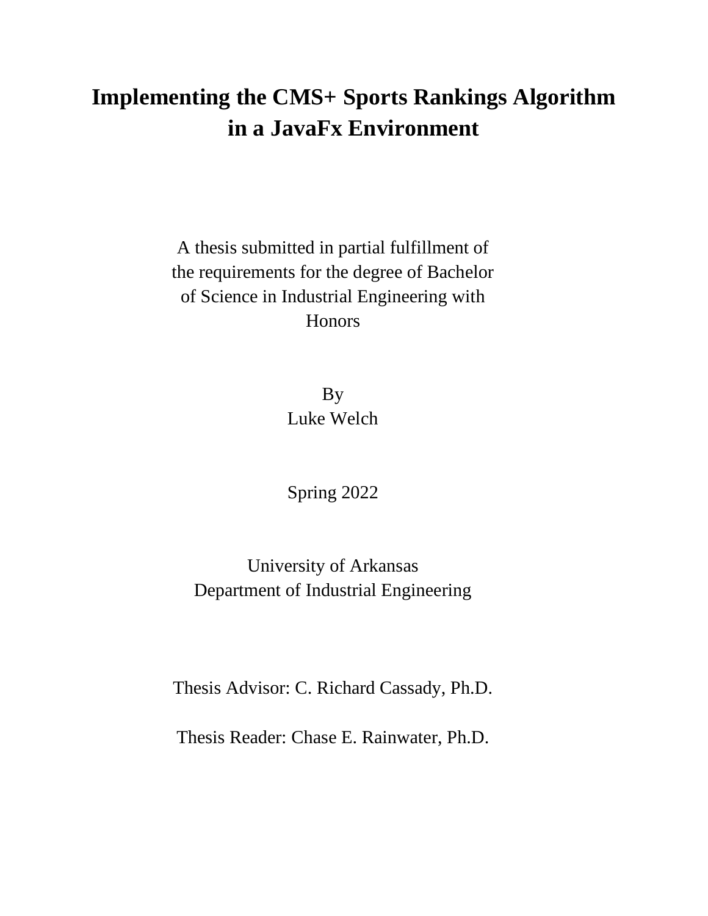# **Implementing the CMS+ Sports Rankings Algorithm in a JavaFx Environment**

A thesis submitted in partial fulfillment of the requirements for the degree of Bachelor of Science in Industrial Engineering with **Honors** 

> By Luke Welch

Spring 2022

University of Arkansas Department of Industrial Engineering

Thesis Advisor: C. Richard Cassady, Ph.D.

Thesis Reader: Chase E. Rainwater, Ph.D.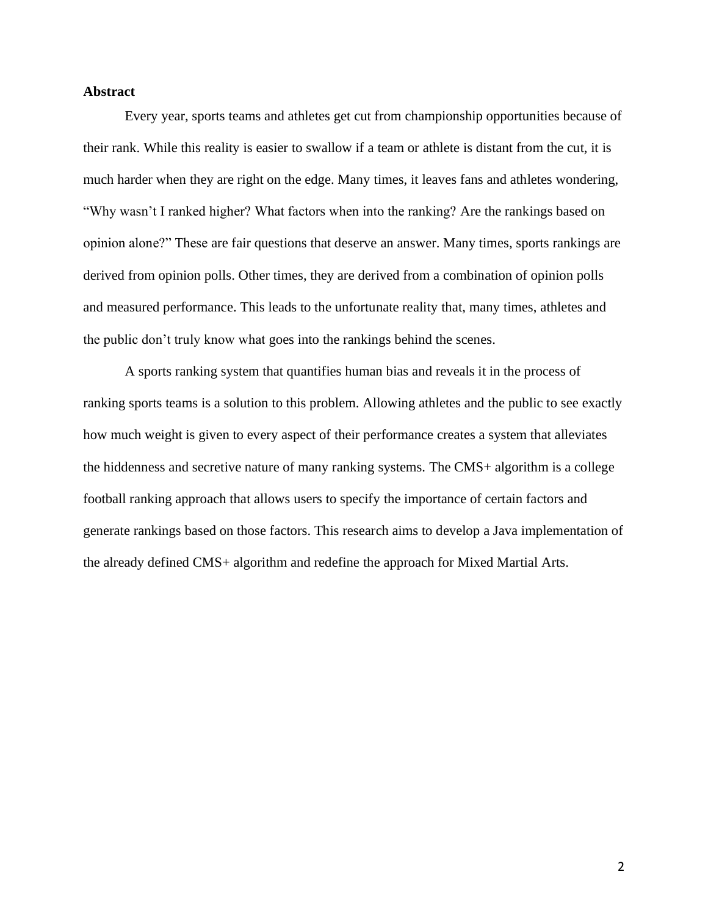## **Abstract**

Every year, sports teams and athletes get cut from championship opportunities because of their rank. While this reality is easier to swallow if a team or athlete is distant from the cut, it is much harder when they are right on the edge. Many times, it leaves fans and athletes wondering, "Why wasn't I ranked higher? What factors when into the ranking? Are the rankings based on opinion alone?" These are fair questions that deserve an answer. Many times, sports rankings are derived from opinion polls. Other times, they are derived from a combination of opinion polls and measured performance. This leads to the unfortunate reality that, many times, athletes and the public don't truly know what goes into the rankings behind the scenes.

A sports ranking system that quantifies human bias and reveals it in the process of ranking sports teams is a solution to this problem. Allowing athletes and the public to see exactly how much weight is given to every aspect of their performance creates a system that alleviates the hiddenness and secretive nature of many ranking systems. The CMS+ algorithm is a college football ranking approach that allows users to specify the importance of certain factors and generate rankings based on those factors. This research aims to develop a Java implementation of the already defined CMS+ algorithm and redefine the approach for Mixed Martial Arts.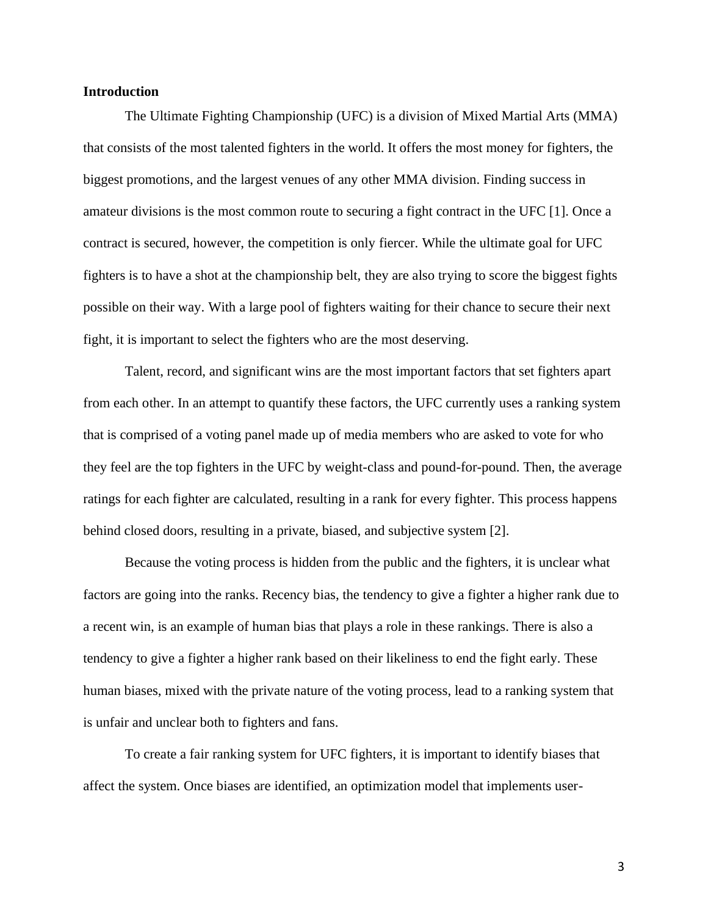### **Introduction**

The Ultimate Fighting Championship (UFC) is a division of Mixed Martial Arts (MMA) that consists of the most talented fighters in the world. It offers the most money for fighters, the biggest promotions, and the largest venues of any other MMA division. Finding success in amateur divisions is the most common route to securing a fight contract in the UFC [1]. Once a contract is secured, however, the competition is only fiercer. While the ultimate goal for UFC fighters is to have a shot at the championship belt, they are also trying to score the biggest fights possible on their way. With a large pool of fighters waiting for their chance to secure their next fight, it is important to select the fighters who are the most deserving.

Talent, record, and significant wins are the most important factors that set fighters apart from each other. In an attempt to quantify these factors, the UFC currently uses a ranking system that is comprised of a voting panel made up of media members who are asked to vote for who they feel are the top fighters in the UFC by weight-class and pound-for-pound. Then, the average ratings for each fighter are calculated, resulting in a rank for every fighter. This process happens behind closed doors, resulting in a private, biased, and subjective system [2].

Because the voting process is hidden from the public and the fighters, it is unclear what factors are going into the ranks. Recency bias, the tendency to give a fighter a higher rank due to a recent win, is an example of human bias that plays a role in these rankings. There is also a tendency to give a fighter a higher rank based on their likeliness to end the fight early. These human biases, mixed with the private nature of the voting process, lead to a ranking system that is unfair and unclear both to fighters and fans.

To create a fair ranking system for UFC fighters, it is important to identify biases that affect the system. Once biases are identified, an optimization model that implements user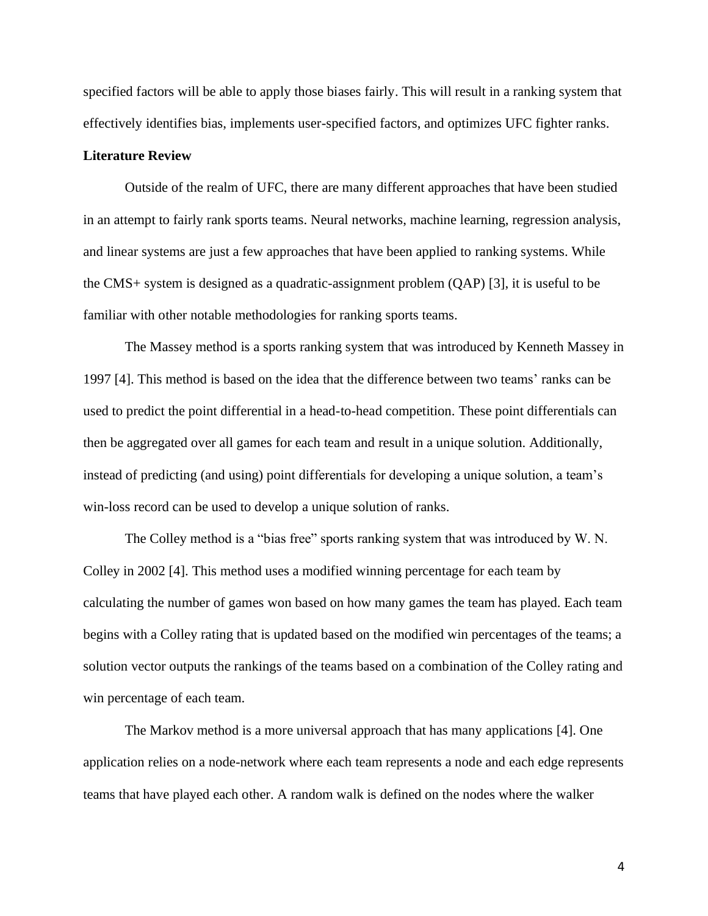specified factors will be able to apply those biases fairly. This will result in a ranking system that effectively identifies bias, implements user-specified factors, and optimizes UFC fighter ranks.

#### **Literature Review**

Outside of the realm of UFC, there are many different approaches that have been studied in an attempt to fairly rank sports teams. Neural networks, machine learning, regression analysis, and linear systems are just a few approaches that have been applied to ranking systems. While the CMS+ system is designed as a quadratic-assignment problem (QAP) [3], it is useful to be familiar with other notable methodologies for ranking sports teams.

The Massey method is a sports ranking system that was introduced by Kenneth Massey in 1997 [4]. This method is based on the idea that the difference between two teams' ranks can be used to predict the point differential in a head-to-head competition. These point differentials can then be aggregated over all games for each team and result in a unique solution. Additionally, instead of predicting (and using) point differentials for developing a unique solution, a team's win-loss record can be used to develop a unique solution of ranks.

The Colley method is a "bias free" sports ranking system that was introduced by W.N. Colley in 2002 [4]. This method uses a modified winning percentage for each team by calculating the number of games won based on how many games the team has played. Each team begins with a Colley rating that is updated based on the modified win percentages of the teams; a solution vector outputs the rankings of the teams based on a combination of the Colley rating and win percentage of each team.

The Markov method is a more universal approach that has many applications [4]. One application relies on a node-network where each team represents a node and each edge represents teams that have played each other. A random walk is defined on the nodes where the walker

4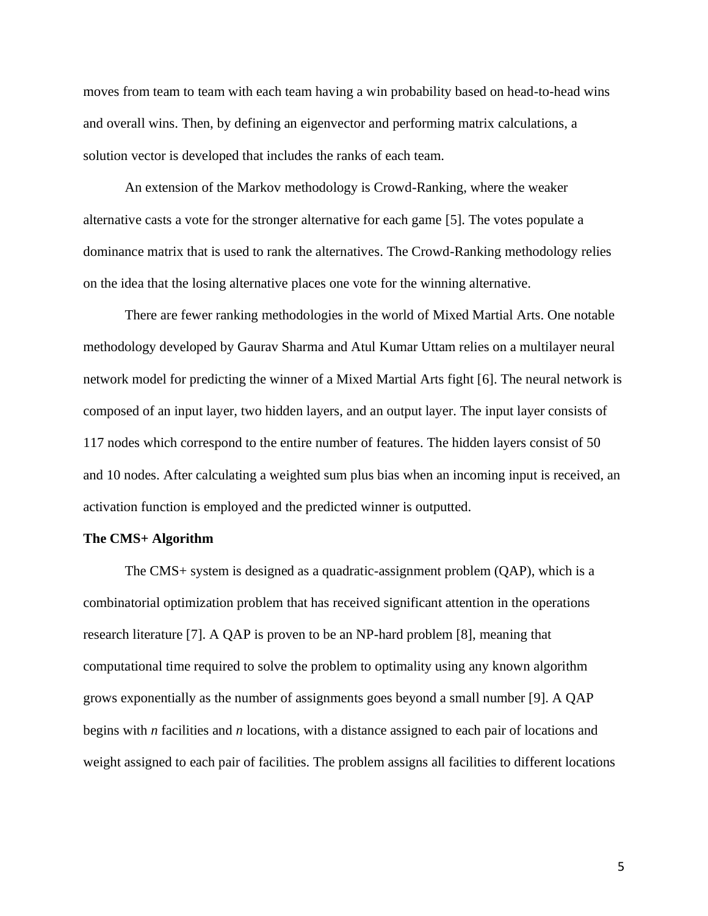moves from team to team with each team having a win probability based on head-to-head wins and overall wins. Then, by defining an eigenvector and performing matrix calculations, a solution vector is developed that includes the ranks of each team.

An extension of the Markov methodology is Crowd-Ranking, where the weaker alternative casts a vote for the stronger alternative for each game [5]. The votes populate a dominance matrix that is used to rank the alternatives. The Crowd-Ranking methodology relies on the idea that the losing alternative places one vote for the winning alternative.

There are fewer ranking methodologies in the world of Mixed Martial Arts. One notable methodology developed by Gaurav Sharma and Atul Kumar Uttam relies on a multilayer neural network model for predicting the winner of a Mixed Martial Arts fight [6]. The neural network is composed of an input layer, two hidden layers, and an output layer. The input layer consists of 117 nodes which correspond to the entire number of features. The hidden layers consist of 50 and 10 nodes. After calculating a weighted sum plus bias when an incoming input is received, an activation function is employed and the predicted winner is outputted.

#### **The CMS+ Algorithm**

The CMS+ system is designed as a quadratic-assignment problem (QAP), which is a combinatorial optimization problem that has received significant attention in the operations research literature [7]. A QAP is proven to be an NP-hard problem [8], meaning that computational time required to solve the problem to optimality using any known algorithm grows exponentially as the number of assignments goes beyond a small number [9]. A QAP begins with *n* facilities and *n* locations, with a distance assigned to each pair of locations and weight assigned to each pair of facilities. The problem assigns all facilities to different locations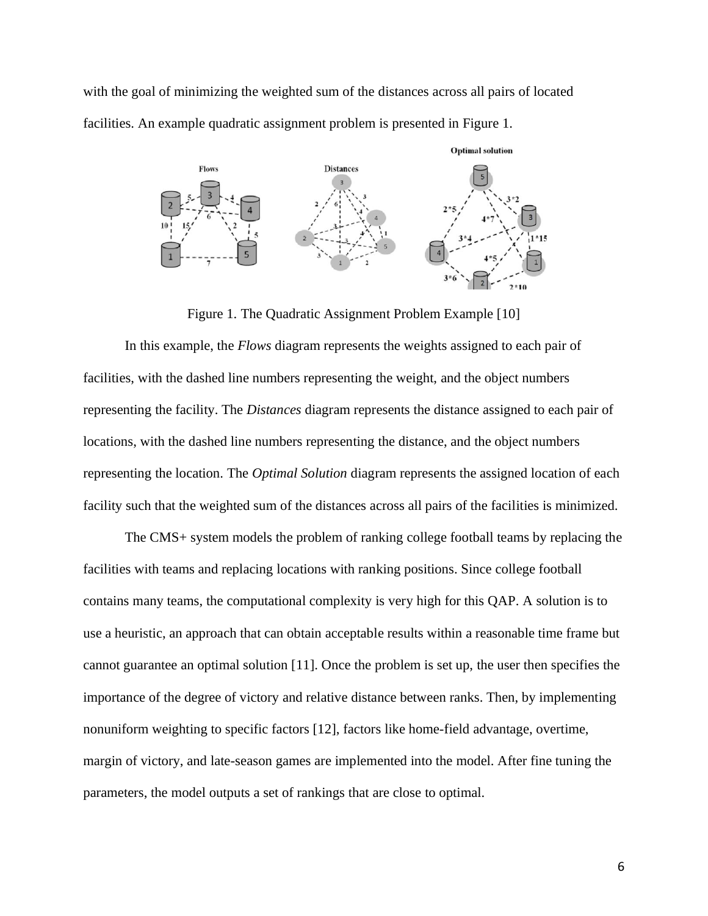with the goal of minimizing the weighted sum of the distances across all pairs of located facilities. An example quadratic assignment problem is presented in Figure 1.



Figure 1. The Quadratic Assignment Problem Example [10]

In this example, the *Flows* diagram represents the weights assigned to each pair of facilities, with the dashed line numbers representing the weight, and the object numbers representing the facility. The *Distances* diagram represents the distance assigned to each pair of locations, with the dashed line numbers representing the distance, and the object numbers representing the location. The *Optimal Solution* diagram represents the assigned location of each facility such that the weighted sum of the distances across all pairs of the facilities is minimized.

The CMS+ system models the problem of ranking college football teams by replacing the facilities with teams and replacing locations with ranking positions. Since college football contains many teams, the computational complexity is very high for this QAP. A solution is to use a heuristic, an approach that can obtain acceptable results within a reasonable time frame but cannot guarantee an optimal solution [11]. Once the problem is set up, the user then specifies the importance of the degree of victory and relative distance between ranks. Then, by implementing nonuniform weighting to specific factors [12], factors like home-field advantage, overtime, margin of victory, and late-season games are implemented into the model. After fine tuning the parameters, the model outputs a set of rankings that are close to optimal.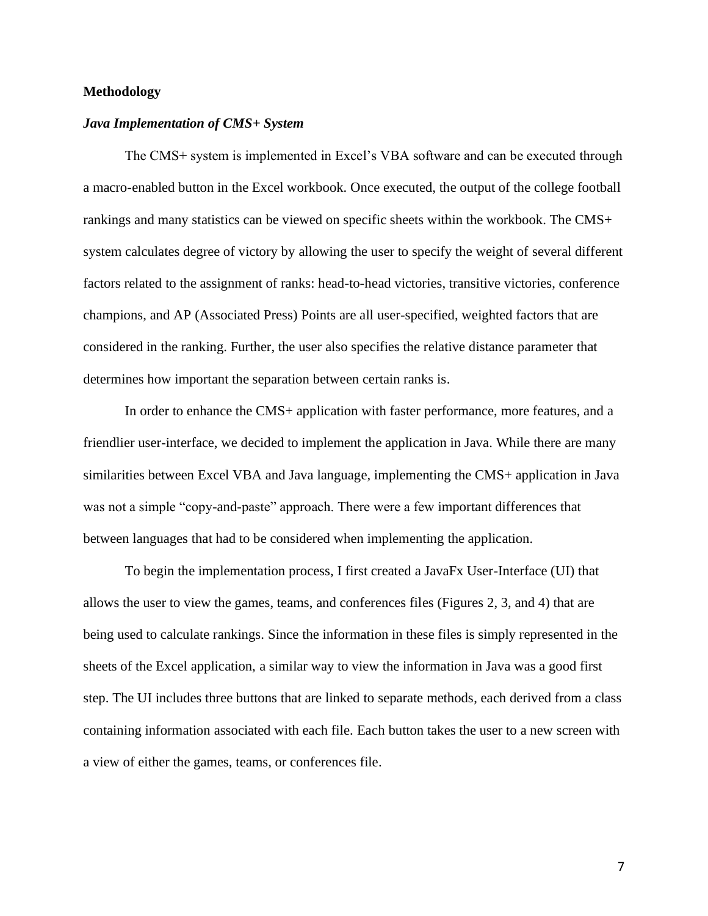## **Methodology**

#### *Java Implementation of CMS+ System*

The CMS+ system is implemented in Excel's VBA software and can be executed through a macro-enabled button in the Excel workbook. Once executed, the output of the college football rankings and many statistics can be viewed on specific sheets within the workbook. The CMS+ system calculates degree of victory by allowing the user to specify the weight of several different factors related to the assignment of ranks: head-to-head victories, transitive victories, conference champions, and AP (Associated Press) Points are all user-specified, weighted factors that are considered in the ranking. Further, the user also specifies the relative distance parameter that determines how important the separation between certain ranks is.

In order to enhance the CMS+ application with faster performance, more features, and a friendlier user-interface, we decided to implement the application in Java. While there are many similarities between Excel VBA and Java language, implementing the CMS+ application in Java was not a simple "copy-and-paste" approach. There were a few important differences that between languages that had to be considered when implementing the application.

To begin the implementation process, I first created a JavaFx User-Interface (UI) that allows the user to view the games, teams, and conferences files (Figures 2, 3, and 4) that are being used to calculate rankings. Since the information in these files is simply represented in the sheets of the Excel application, a similar way to view the information in Java was a good first step. The UI includes three buttons that are linked to separate methods, each derived from a class containing information associated with each file. Each button takes the user to a new screen with a view of either the games, teams, or conferences file.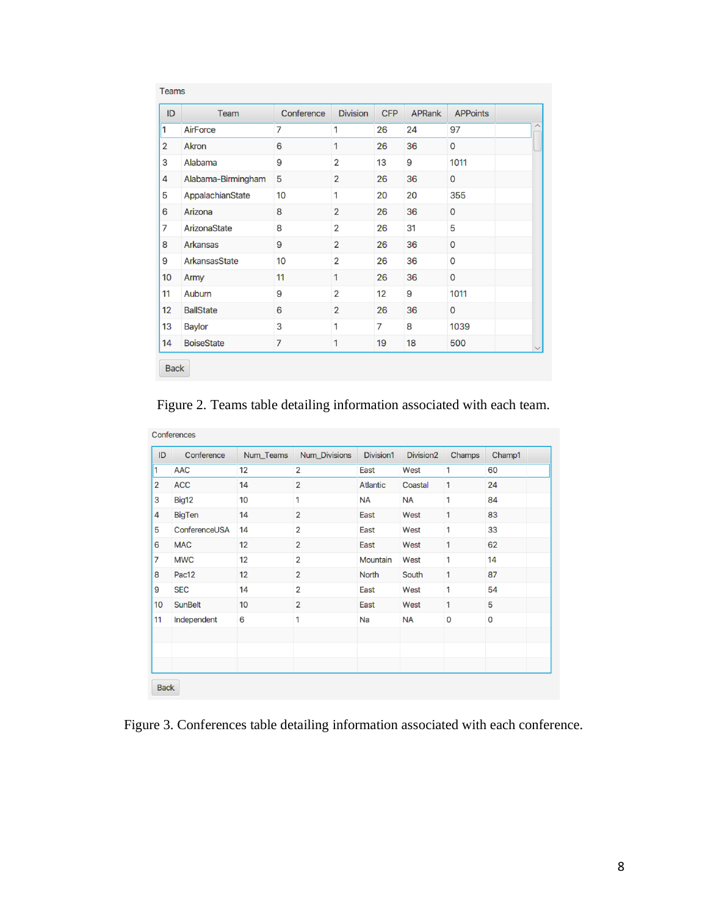| ID             | Team               | Conference | <b>Division</b> | <b>CFP</b> | <b>APRank</b> | <b>APPoints</b> |  |
|----------------|--------------------|------------|-----------------|------------|---------------|-----------------|--|
| $\vert$ 1      | AirForce           | 7          | 1               | 26         | 24            | 97              |  |
| 2              | Akron              | 6          | 1               | 26         | 36            | 0               |  |
| 3              | Alabama            | 9          | $\overline{2}$  | 13         | 9             | 1011            |  |
| 4              | Alabama-Birmingham | 5          | $\overline{2}$  | 26         | 36            | 0               |  |
| 5              | AppalachianState   | 10         | 1               | 20         | 20            | 355             |  |
| 6              | Arizona            | 8          | $\overline{2}$  | 26         | 36            | $\Omega$        |  |
| $\overline{7}$ | ArizonaState       | 8          | $\overline{2}$  | 26         | 31            | 5               |  |
| 8              | Arkansas           | 9          | $\overline{2}$  | 26         | 36            | 0               |  |
| 9              | ArkansasState      | 10         | $\overline{2}$  | 26         | 36            | 0               |  |
| 10             | Army               | 11         | 1               | 26         | 36            | $\mathbf 0$     |  |
| 11             | Auburn             | 9          | $\overline{2}$  | 12         | 9             | 1011            |  |
| 12             | <b>BallState</b>   | 6          | $\overline{2}$  | 26         | 36            | $\Omega$        |  |
| 13             | <b>Baylor</b>      | 3          | 1               | 7          | 8             | 1039            |  |
| 14             | <b>BoiseState</b>  | 7          | 1               | 19         | 18            | 500             |  |

Figure 2. Teams table detailing information associated with each team.

| ID             | Conference     | Num_Teams | Num_Divisions  | Division1       | Division <sub>2</sub> | Champs | Champ1 |
|----------------|----------------|-----------|----------------|-----------------|-----------------------|--------|--------|
| 1              | <b>AAC</b>     | 12        | 2              | East            | West                  | 1      | 60     |
| $\overline{2}$ | <b>ACC</b>     | 14        | $\overline{2}$ | <b>Atlantic</b> | Coastal               | 1      | 24     |
| 3              | Big12          | 10        | 1              | NA              | <b>NA</b>             | 1      | 84     |
| 4              | <b>BigTen</b>  | 14        | $\overline{2}$ | East            | West                  | 1      | 83     |
| 5              | ConferenceUSA  | 14        | $\overline{2}$ | East            | West                  | 1      | 33     |
| 6              | <b>MAC</b>     | 12        | $\overline{2}$ | East            | West                  | 1      | 62     |
| $\overline{7}$ | <b>MWC</b>     | 12        | $\overline{2}$ | Mountain        | West                  | 1      | 14     |
| 8              | Pac12          | 12        | $\mathbf{2}$   | <b>North</b>    | South                 | 1      | 87     |
| 9              | <b>SEC</b>     | 14        | $\overline{2}$ | East            | West                  | 1      | 54     |
| 10             | <b>SunBelt</b> | 10        | $\overline{2}$ | East            | West                  | 1      | 5      |
| 11             | Independent    | 6         | 1              | Na              | <b>NA</b>             | 0      | 0      |
|                |                |           |                |                 |                       |        |        |
|                |                |           |                |                 |                       |        |        |
|                |                |           |                |                 |                       |        |        |

Figure 3. Conferences table detailing information associated with each conference.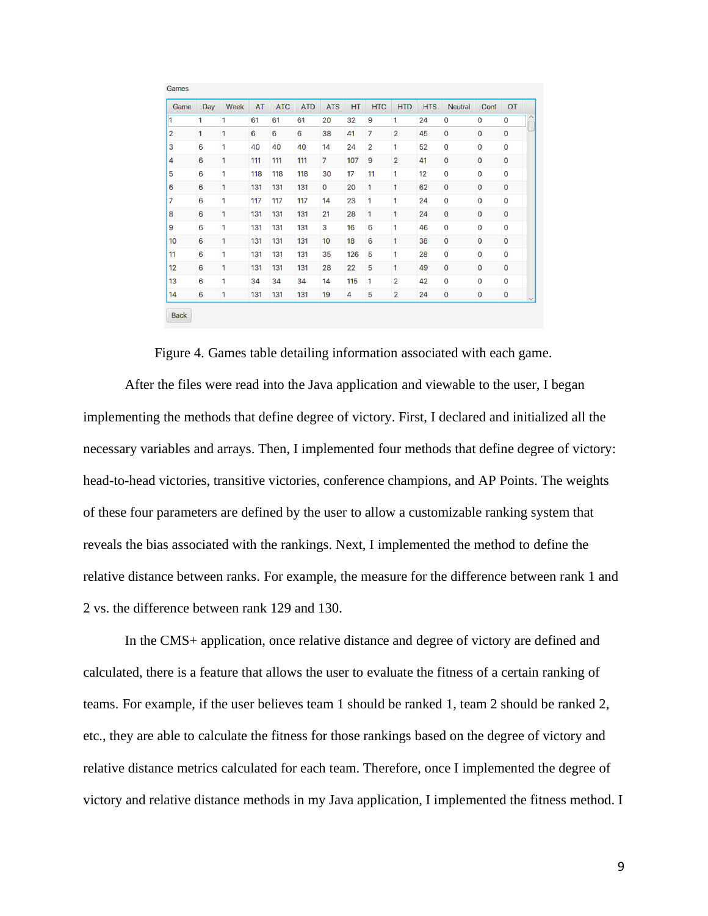| Game           | Day | Week | AT  | <b>ATC</b> | <b>ATD</b> | <b>ATS</b>     | HT  | <b>HTC</b>     | <b>HTD</b>     | <b>HTS</b> | <b>Neutral</b> | Conf        | OT                  |  |
|----------------|-----|------|-----|------------|------------|----------------|-----|----------------|----------------|------------|----------------|-------------|---------------------|--|
| 1              | 1   | 1    | 61  | 61         | 61         | 20             | 32  | 9              | 1              | 24         | $\mathbf 0$    | 0           | 0                   |  |
| $\overline{2}$ | 1   | 1    | 6   | 6          | 6          | 38             | 41  | $\overline{7}$ | $\overline{2}$ | 45         | $\mathbf 0$    | $\mathbf 0$ | $\mathbf 0$         |  |
| 3              | 6   | 1    | 40  | 40         | 40         | 14             | 24  | $\overline{2}$ | 1              | 52         | $\mathbf 0$    | 0           | $\mathbf 0$         |  |
| $\overline{4}$ | 6   | 1    | 111 | 111        | 111        | $\overline{7}$ | 107 | 9              | $\overline{2}$ | 41         | $\mathbf 0$    | 0           | $\mathsf{O}\xspace$ |  |
| 5              | 6   | 1    | 118 | 118        | 118        | 30             | 17  | 11             | $\mathbf{1}$   | 12         | $\mathsf 0$    | 0           | $\mathsf{O}\xspace$ |  |
| 6              | 6   | 1    | 131 | 131        | 131        | $\mathbf 0$    | 20  | 1              | $\mathbf{1}$   | 62         | $\mathbf 0$    | 0           | $\mathbf 0$         |  |
| 7              | 6   | 1    | 117 | 117        | 117        | 14             | 23  | 1              | 1              | 24         | $\mathbf 0$    | 0           | $\mathbf 0$         |  |
| 8              | 6   | 1    | 131 | 131        | 131        | 21             | 28  | 1              | 1              | 24         | $\mathbf{0}$   | 0           | $\mathbf 0$         |  |
| 9              | 6   | 1    | 131 | 131        | 131        | 3              | 16  | 6              | 1              | 46         | $\mathbf 0$    | 0           | $\mathbf 0$         |  |
| 10             | 6   | 1    | 131 | 131        | 131        | 10             | 18  | 6              | 1              | 38         | $\mathbf 0$    | 0           | $\mathbf 0$         |  |
| 11             | 6   | 1    | 131 | 131        | 131        | 35             | 126 | 5              | 1              | 28         | $\mathbf 0$    | 0           | $\mathbf 0$         |  |
| 12             | 6   | 1    | 131 | 131        | 131        | 28             | 22  | 5              | $\mathbf{1}$   | 49         | $\mathbf 0$    | 0           | $\mathbf 0$         |  |
| 13             | 6   | 1    | 34  | 34         | 34         | 14             | 115 | 1              | $\overline{2}$ | 42         | $\mathbf 0$    | 0           | $\mathbf 0$         |  |
| 14             | 6   | 1    | 131 | 131        | 131        | 19             | 4   | 5              | $\overline{2}$ | 24         | $\mathbf 0$    | 0           | $\mathbf 0$         |  |

Figure 4. Games table detailing information associated with each game.

After the files were read into the Java application and viewable to the user, I began implementing the methods that define degree of victory. First, I declared and initialized all the necessary variables and arrays. Then, I implemented four methods that define degree of victory: head-to-head victories, transitive victories, conference champions, and AP Points. The weights of these four parameters are defined by the user to allow a customizable ranking system that reveals the bias associated with the rankings. Next, I implemented the method to define the relative distance between ranks. For example, the measure for the difference between rank 1 and 2 vs. the difference between rank 129 and 130.

In the CMS+ application, once relative distance and degree of victory are defined and calculated, there is a feature that allows the user to evaluate the fitness of a certain ranking of teams. For example, if the user believes team 1 should be ranked 1, team 2 should be ranked 2, etc., they are able to calculate the fitness for those rankings based on the degree of victory and relative distance metrics calculated for each team. Therefore, once I implemented the degree of victory and relative distance methods in my Java application, I implemented the fitness method. I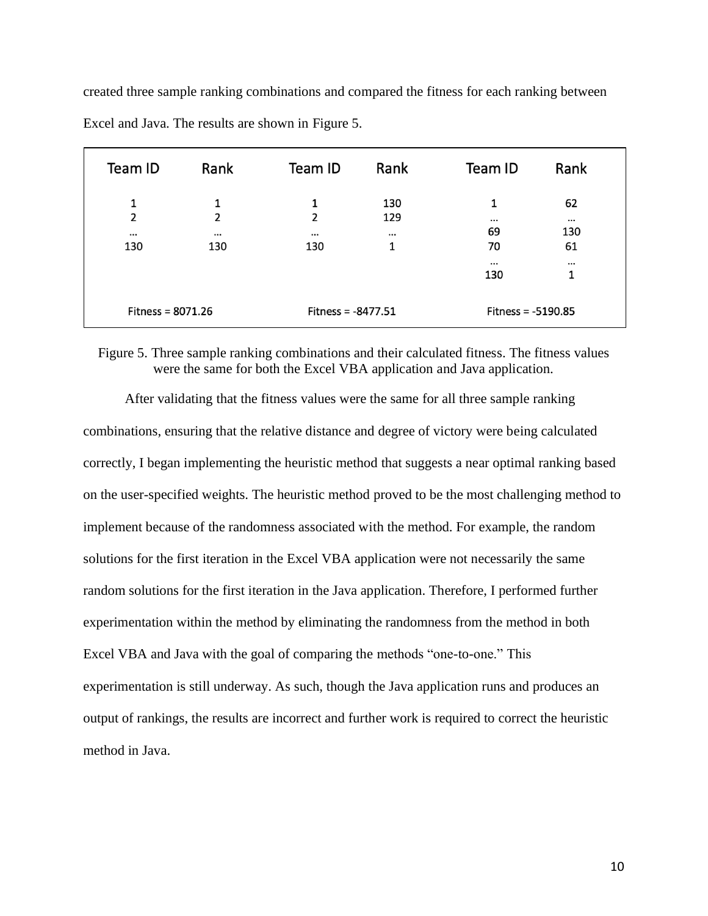| Team ID                                | Rank                      | Team ID                                | Rank                        | Team ID                                 | Rank                        |
|----------------------------------------|---------------------------|----------------------------------------|-----------------------------|-----------------------------------------|-----------------------------|
| 1<br>$\overline{2}$<br>$\cdots$<br>130 | 1<br>2<br>$\cdots$<br>130 | 1<br>$\overline{2}$<br>$\cdots$<br>130 | 130<br>129<br>$\cdots$<br>1 | 1<br>$\cdots$<br>69<br>70               | 62<br>$\cdots$<br>130<br>61 |
| Fitness = $8071.26$                    |                           | Fitness = $-8477.51$                   |                             | $\cdots$<br>130<br>Fitness = $-5190.85$ | <br>1                       |

created three sample ranking combinations and compared the fitness for each ranking between Excel and Java. The results are shown in Figure 5.

Figure 5. Three sample ranking combinations and their calculated fitness. The fitness values were the same for both the Excel VBA application and Java application.

After validating that the fitness values were the same for all three sample ranking combinations, ensuring that the relative distance and degree of victory were being calculated correctly, I began implementing the heuristic method that suggests a near optimal ranking based on the user-specified weights. The heuristic method proved to be the most challenging method to implement because of the randomness associated with the method. For example, the random solutions for the first iteration in the Excel VBA application were not necessarily the same random solutions for the first iteration in the Java application. Therefore, I performed further experimentation within the method by eliminating the randomness from the method in both Excel VBA and Java with the goal of comparing the methods "one-to-one." This experimentation is still underway. As such, though the Java application runs and produces an output of rankings, the results are incorrect and further work is required to correct the heuristic method in Java.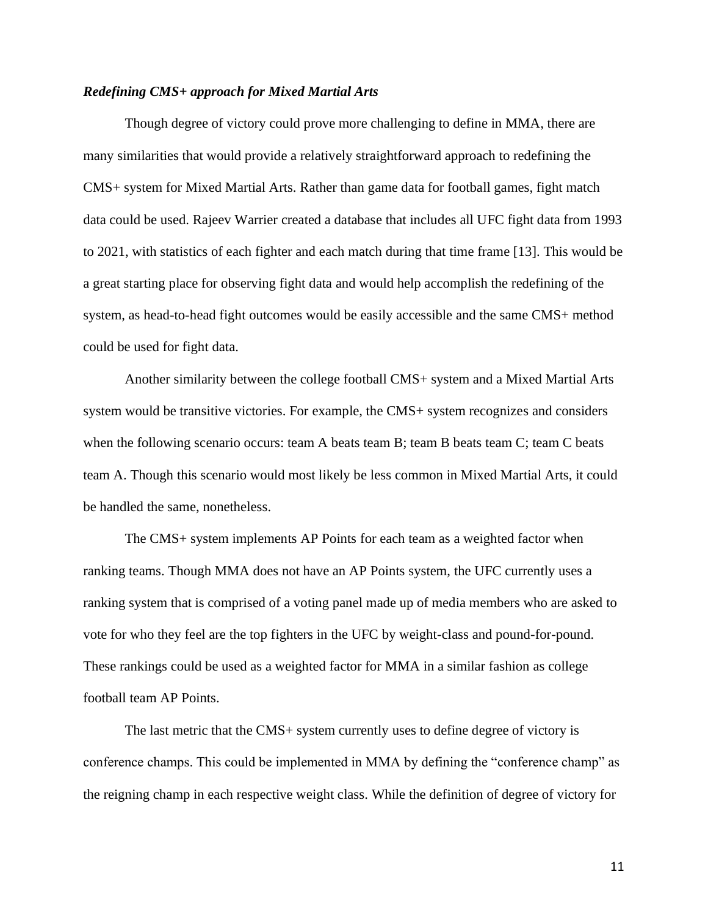#### *Redefining CMS+ approach for Mixed Martial Arts*

Though degree of victory could prove more challenging to define in MMA, there are many similarities that would provide a relatively straightforward approach to redefining the CMS+ system for Mixed Martial Arts. Rather than game data for football games, fight match data could be used. Rajeev Warrier created a database that includes all UFC fight data from 1993 to 2021, with statistics of each fighter and each match during that time frame [13]. This would be a great starting place for observing fight data and would help accomplish the redefining of the system, as head-to-head fight outcomes would be easily accessible and the same CMS+ method could be used for fight data.

Another similarity between the college football CMS+ system and a Mixed Martial Arts system would be transitive victories. For example, the CMS+ system recognizes and considers when the following scenario occurs: team A beats team B; team B beats team C; team C beats team A. Though this scenario would most likely be less common in Mixed Martial Arts, it could be handled the same, nonetheless.

The CMS+ system implements AP Points for each team as a weighted factor when ranking teams. Though MMA does not have an AP Points system, the UFC currently uses a ranking system that is comprised of a voting panel made up of media members who are asked to vote for who they feel are the top fighters in the UFC by weight-class and pound-for-pound. These rankings could be used as a weighted factor for MMA in a similar fashion as college football team AP Points.

The last metric that the CMS+ system currently uses to define degree of victory is conference champs. This could be implemented in MMA by defining the "conference champ" as the reigning champ in each respective weight class. While the definition of degree of victory for

11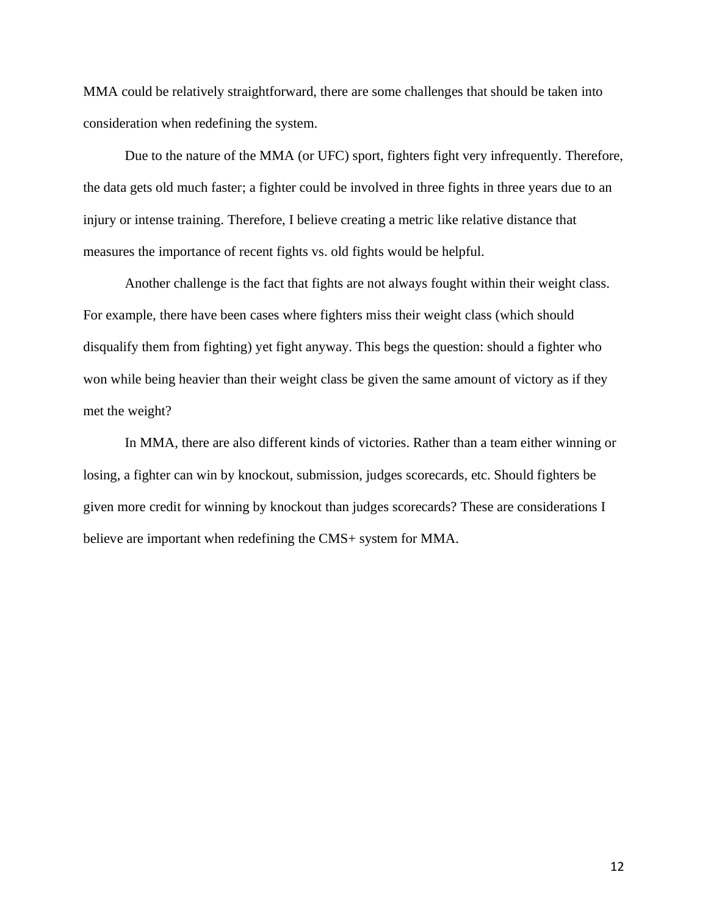MMA could be relatively straightforward, there are some challenges that should be taken into consideration when redefining the system.

Due to the nature of the MMA (or UFC) sport, fighters fight very infrequently. Therefore, the data gets old much faster; a fighter could be involved in three fights in three years due to an injury or intense training. Therefore, I believe creating a metric like relative distance that measures the importance of recent fights vs. old fights would be helpful.

Another challenge is the fact that fights are not always fought within their weight class. For example, there have been cases where fighters miss their weight class (which should disqualify them from fighting) yet fight anyway. This begs the question: should a fighter who won while being heavier than their weight class be given the same amount of victory as if they met the weight?

In MMA, there are also different kinds of victories. Rather than a team either winning or losing, a fighter can win by knockout, submission, judges scorecards, etc. Should fighters be given more credit for winning by knockout than judges scorecards? These are considerations I believe are important when redefining the CMS+ system for MMA.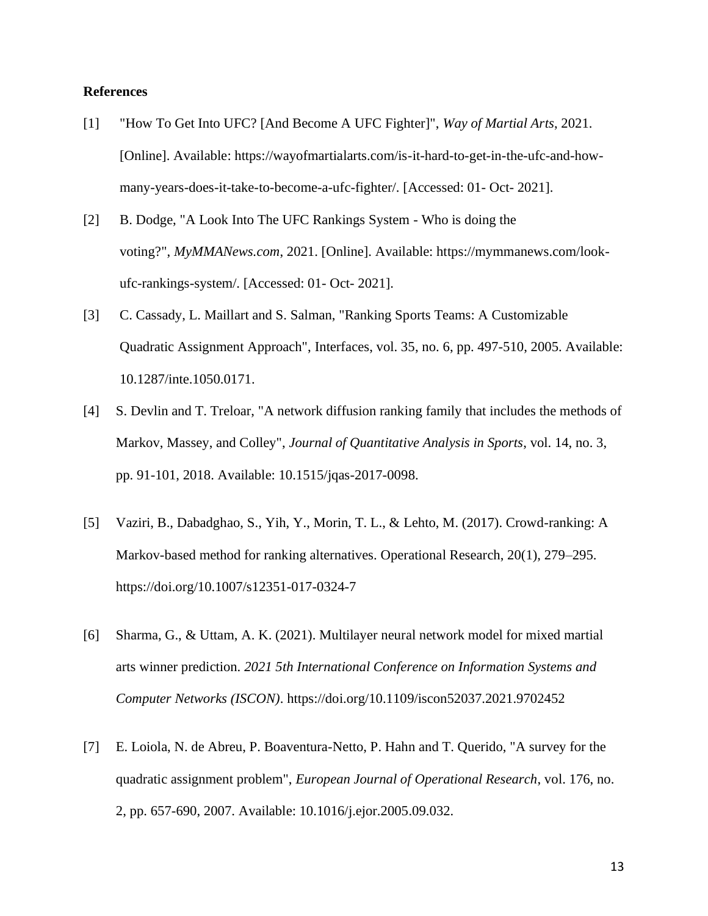#### **References**

- [1] "How To Get Into UFC? [And Become A UFC Fighter]", *Way of Martial Arts*, 2021. [Online]. Available: https://wayofmartialarts.com/is-it-hard-to-get-in-the-ufc-and-howmany-years-does-it-take-to-become-a-ufc-fighter/. [Accessed: 01- Oct- 2021].
- [2] B. Dodge, "A Look Into The UFC Rankings System Who is doing the voting?", *MyMMANews.com*, 2021. [Online]. Available: https://mymmanews.com/lookufc-rankings-system/. [Accessed: 01- Oct- 2021].
- [3] C. Cassady, L. Maillart and S. Salman, "Ranking Sports Teams: A Customizable Quadratic Assignment Approach", Interfaces, vol. 35, no. 6, pp. 497-510, 2005. Available: 10.1287/inte.1050.0171.
- [4] S. Devlin and T. Treloar, "A network diffusion ranking family that includes the methods of Markov, Massey, and Colley", *Journal of Quantitative Analysis in Sports*, vol. 14, no. 3, pp. 91-101, 2018. Available: 10.1515/jqas-2017-0098.
- [5] Vaziri, B., Dabadghao, S., Yih, Y., Morin, T. L., & Lehto, M. (2017). Crowd-ranking: A Markov-based method for ranking alternatives. Operational Research, 20(1), 279–295. https://doi.org/10.1007/s12351-017-0324-7
- [6] Sharma, G., & Uttam, A. K. (2021). Multilayer neural network model for mixed martial arts winner prediction. *2021 5th International Conference on Information Systems and Computer Networks (ISCON)*. https://doi.org/10.1109/iscon52037.2021.9702452
- [7] E. Loiola, N. de Abreu, P. Boaventura-Netto, P. Hahn and T. Querido, "A survey for the quadratic assignment problem", *European Journal of Operational Research*, vol. 176, no. 2, pp. 657-690, 2007. Available: 10.1016/j.ejor.2005.09.032.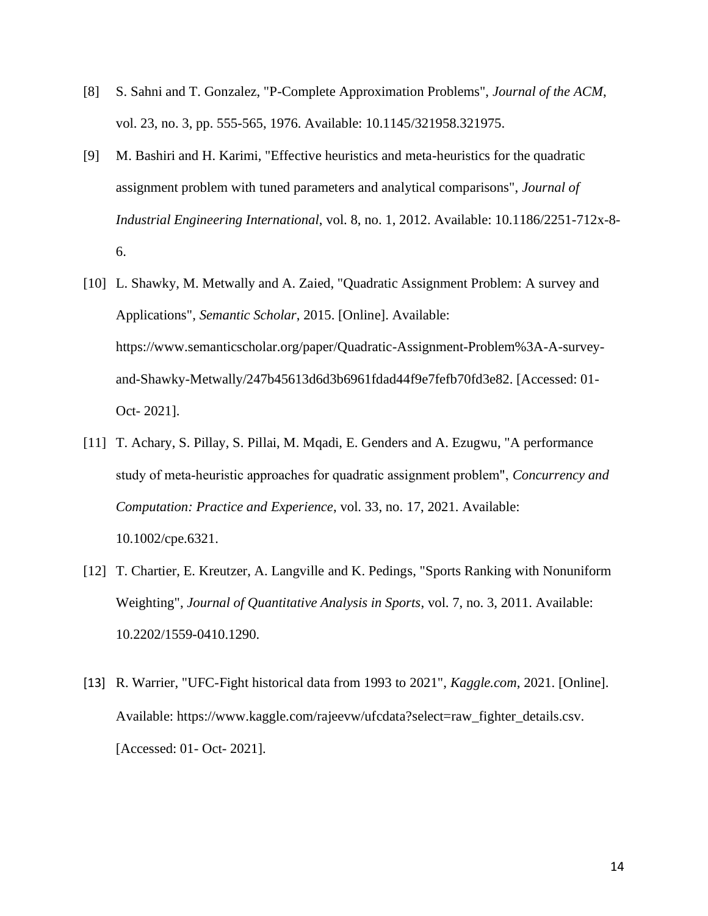- [8] S. Sahni and T. Gonzalez, "P-Complete Approximation Problems", *Journal of the ACM*, vol. 23, no. 3, pp. 555-565, 1976. Available: 10.1145/321958.321975.
- [9] M. Bashiri and H. Karimi, "Effective heuristics and meta-heuristics for the quadratic assignment problem with tuned parameters and analytical comparisons", *Journal of Industrial Engineering International*, vol. 8, no. 1, 2012. Available: 10.1186/2251-712x-8- 6.
- [10] L. Shawky, M. Metwally and A. Zaied, "Quadratic Assignment Problem: A survey and Applications", *Semantic Scholar*, 2015. [Online]. Available: https://www.semanticscholar.org/paper/Quadratic-Assignment-Problem%3A-A-surveyand-Shawky-Metwally/247b45613d6d3b6961fdad44f9e7fefb70fd3e82. [Accessed: 01- Oct- 2021].
- [11] T. Achary, S. Pillay, S. Pillai, M. Mqadi, E. Genders and A. Ezugwu, "A performance study of meta‐heuristic approaches for quadratic assignment problem", *Concurrency and Computation: Practice and Experience*, vol. 33, no. 17, 2021. Available: 10.1002/cpe.6321.
- [12] T. Chartier, E. Kreutzer, A. Langville and K. Pedings, "Sports Ranking with Nonuniform Weighting", *Journal of Quantitative Analysis in Sports*, vol. 7, no. 3, 2011. Available: 10.2202/1559-0410.1290.
- [13] R. Warrier, "UFC-Fight historical data from 1993 to 2021", *Kaggle.com*, 2021. [Online]. Available: https://www.kaggle.com/rajeevw/ufcdata?select=raw\_fighter\_details.csv. [Accessed: 01- Oct- 2021].